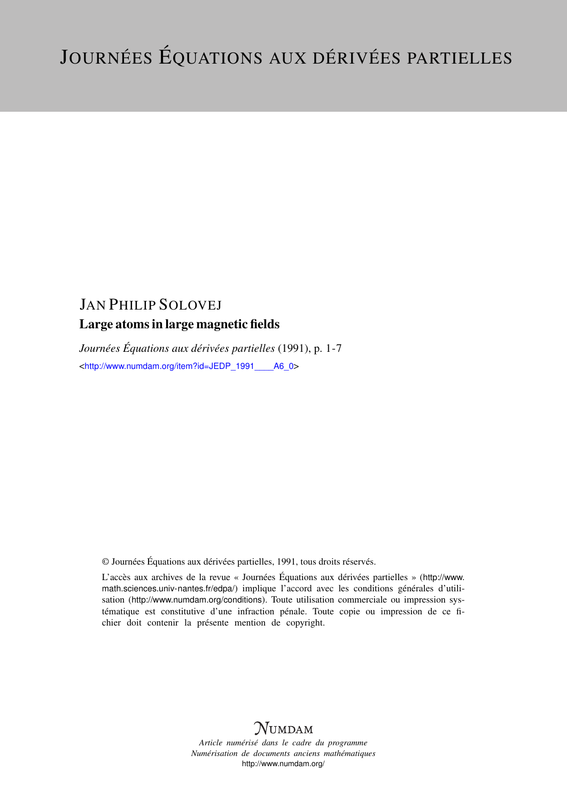# JAN PHILIP SOLOVEJ Large atoms in large magnetic fields

*Journées Équations aux dérivées partielles* (1991), p. 1-7 <[http://www.numdam.org/item?id=JEDP\\_1991\\_\\_\\_\\_A6\\_0](http://www.numdam.org/item?id=JEDP_1991____A6_0)>

© Journées Équations aux dérivées partielles, 1991, tous droits réservés.

L'accès aux archives de la revue « Journées Équations aux dérivées partielles » ([http://www.](http://www.math.sciences.univ-nantes.fr/edpa/) [math.sciences.univ-nantes.fr/edpa/](http://www.math.sciences.univ-nantes.fr/edpa/)) implique l'accord avec les conditions générales d'utilisation (<http://www.numdam.org/conditions>). Toute utilisation commerciale ou impression systématique est constitutive d'une infraction pénale. Toute copie ou impression de ce fichier doit contenir la présente mention de copyright.



*Article numérisé dans le cadre du programme Numérisation de documents anciens mathématiques* <http://www.numdam.org/>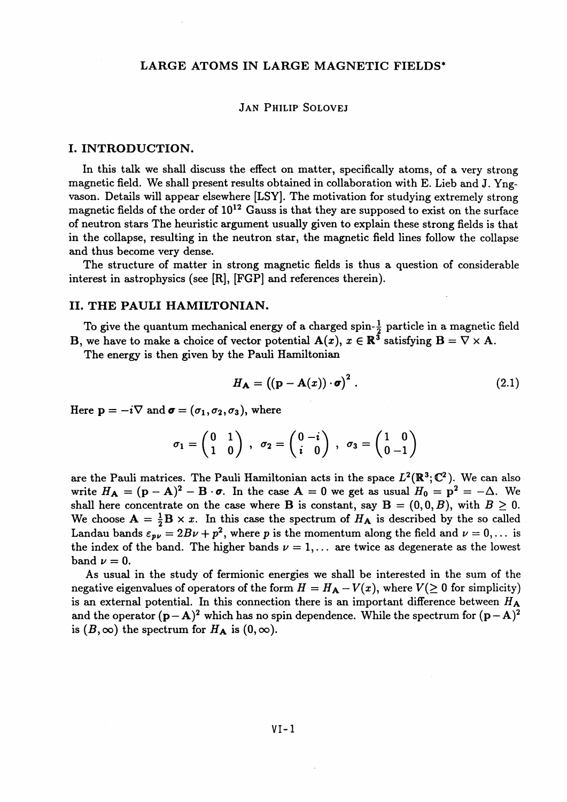### **LARGE ATOMS IN LARGE MAGNETIC FIELDS\***

#### **JAN PHILIP SOLOVEJ**

#### **I. INTRODUCTION.**

In this talk we shall discuss the effect on matter, specifically atoms, of a very strong magnetic field. We shall present results obtained in collaboration with E. Lieb and J. Yngvason. Details will appear elsewhere [LSY]. The motivation for studying extremely strong magnetic fields of the order of 10<sup>12</sup> Gauss is that they are supposed to exist on the surface of neutron stars The heuristic argument usually given to explain these strong fields is that in the collapse, resulting in the neutron star, the magnetic field lines follow the collapse and thus become very dense.

The structure of matter in strong magnetic fields is thus a question of considerable interest in astrophysics (see [R], [FGP] and references therein).

#### **II. THE PAULI HAMILTONIAN.**

To give the quantum mechanical energy of a charged spin- $\frac{1}{2}$  particle in a magnetic field **B**, we have to make a choice of vector potential  $A(x)$ ,  $x \in \mathbb{R}^3$  satisfying  $B = \nabla \times A$ .

The energy is then given by the Pauli Hamiltonian

$$
H_{\mathbf{A}} = ((\mathbf{p} - \mathbf{A}(x)) \cdot \boldsymbol{\sigma})^2. \tag{2.1}
$$

Here  $p = -i\nabla$  and  $\boldsymbol{\sigma} = (\sigma_1, \sigma_2, \sigma_3)$ , where

$$
\sigma_1 = \begin{pmatrix} 0 & 1 \\ 1 & 0 \end{pmatrix} , \quad \sigma_2 = \begin{pmatrix} 0 & -i \\ i & 0 \end{pmatrix} , \quad \sigma_3 = \begin{pmatrix} 1 & 0 \\ 0 & -1 \end{pmatrix}
$$

are the Pauli matrices. The Pauli Hamiltonian acts in the space  $L^2(\mathbb{R}^3; \mathbb{C}^2)$ . We can also write  $H_A = (\mathbf{p} - \mathbf{A})^2 - \mathbf{B} \cdot \boldsymbol{\sigma}$ . In the case  $\mathbf{A} = 0$  we get as usual  $H_0 = \mathbf{p}^2 = -\Delta$ . We shall here concentrate on the case where **B** is constant, say  $B = (0, 0, B)$ , with  $B \ge 0$ . We choose  $A = \frac{1}{2}B \times x$ . In this case the spectrum of  $H_A$  is described by the so called Landau bands  $\varepsilon_{p\nu} = 2B\nu + p^2$ , where p is the momentum along the field and  $\nu = 0,...$  is the index of the band. The higher bands  $\nu = 1, \ldots$  are twice as degenerate as the lowest band  $\nu = 0$ .

As usual in the study of fermionic energies we shall be interested in the sum of the negative eigenvalues of operators of the form  $H = H_A - V(x)$ , where  $V(\geq 0$  for simplicity) is an external potential. In this connection there is an important difference between *HA* and the operator  $(p - A)^2$  which has no spin dependence. While the spectrum for  $(p - A)^2$ is  $(B, \infty)$  the spectrum for  $H_A$  is  $(0, \infty)$ .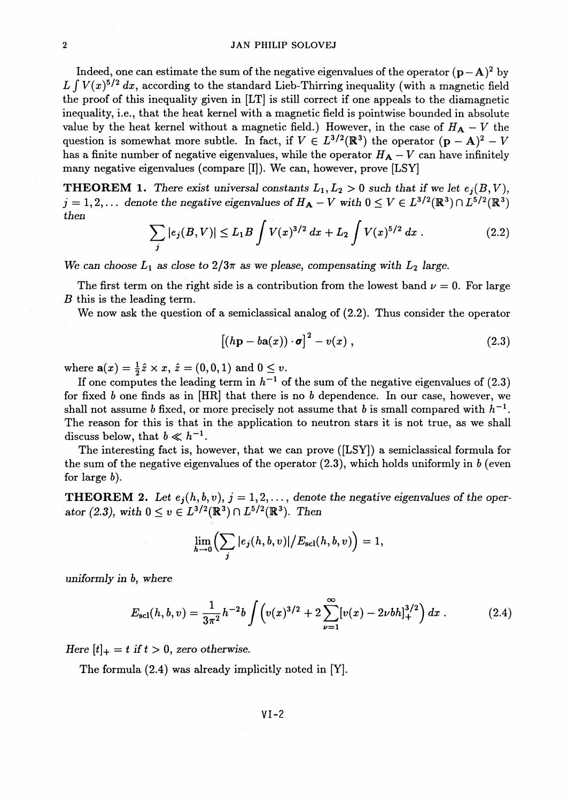Indeed, one can estimate the sum of the negative eigenvalues of the operator  $(p-A)^2$  by  $L \int V(x)^{5/2} dx$ , according to the standard Lieb-Thirring inequality (with a magnetic field the proof of this inequality given in [LT] is still correct if one appeals to the diamagnetic inequality, i.e., that the heat kernel with a magnetic field is pointwise bounded in absolute value by the heat kernel without a magnetic field.) However, in the case of  $H_A - V$  the question is somewhat more subtle. In fact, if  $V \in L^{3/2}(\mathbb{R}^3)$  the operator  $(p - A)^2 - V$ has a finite number of negative eigenvalues, while the operator  $H_A - V$  can have infinitely many negative eigenvalues (compare [I]). We can, however, prove [LSY]

**THEOREM 1.** There exist universal constants  $L_1, L_2 > 0$  such that if we let  $e_i(B, V)$ ,  $j = 1, 2, ...$  denote the negative eigenvalues of  $H_A - V$  with  $0 \le V \in L^{3/2}(\mathbb{R}^3) \cap L^{5/2}(\mathbb{R}^3)$ *then*

$$
\sum_{j} |e_{j}(B, V)| \le L_{1} B \int V(x)^{3/2} dx + L_{2} \int V(x)^{5/2} dx.
$$
 (2.2)

We can choose  $L_1$  as close to  $2/3\pi$  as we please, compensating with  $L_2$  large.

The first term on the right side is a contribution from the lowest band  $\nu = 0$ . For large *B* this is the leading term.

We now ask the question of a semiclassical analog of (2.2). Thus consider the operator

$$
\left[ (h\mathbf{p} - b\mathbf{a}(x)) \cdot \boldsymbol{\sigma} \right]^2 - v(x) , \qquad (2.3)
$$

where  $a(x) = \frac{1}{2}\hat{z} \times x$ ,  $\hat{z} = (0,0,1)$  and  $0 \leq v$ .

If one computes the leading term in  $h^{-1}$  of the sum of the negative eigenvalues of  $(2.3)$ for fixed *b* one finds as in [HR] that there is no *b* dependence. In our case, however, we shall not assume *b* fixed, or more precisely not assume that *b* is small compared with  $h^{-1}$ . The reason for this is that in the application to neutron stars it is not true, as we shall discuss below, that  $b \ll h^{-1}$ .

The interesting fact is, however, that we can prove ([LSY]) a semiclassical formula for the sum of the negative eigenvalues of the operator (2.3), which holds uniformly in *b* (even for large  $b$ ).

**THEOREM 2.** Let  $e_j(h, b, v)$ ,  $j = 1, 2, \ldots$ , denote the negative eigenvalues of the operator (2.3), with  $0 \le v \in L^{3/2}(\mathbb{R}^3) \cap L^{5/2}(\mathbb{R}^3)$ . Then

$$
\lim_{h\to 0}\Bigl(\sum_j|e_j(h,b,v)|\bigl/E_{\rm scl}(h,b,v)\Bigr)=1,
$$

*uniformly in b, where*

$$
E_{\rm scl}(h,b,v) = \frac{1}{3\pi^2}h^{-2}b\int \left(v(x)^{3/2} + 2\sum_{\nu=1}^{\infty} [v(x) - 2\nu b h]_{+}^{3/2}\right)dx\ .
$$
 (2.4)

*Here*  $[t]_+ = t$  *if*  $t > 0$ *, zero otherwise.* 

The formula (2.4) was already implicitly noted in [Y].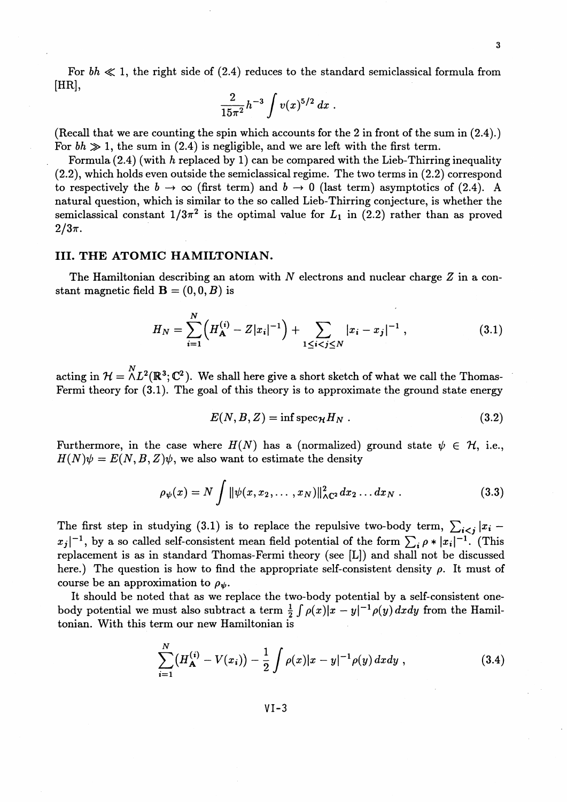For  $bh \ll 1$ , the right side of (2.4) reduces to the standard semiclassical formula from [HR],

$$
\frac{2}{15\pi^2}h^{-3}\int v(x)^{5/2}\,dx\;.
$$

(Recall that we are counting the spin which accounts for the 2 in front of the sum in  $(2.4)$ .) For  $bh \gg 1$ , the sum in (2.4) is negligible, and we are left with the first term.

Formula (2.4) (with *h* replaced by 1) can be compared with the Lieb-Thirring inequality (2.2), which holds even outside the semiclassical regime. The two terms in (2.2) correspond to respectively the  $b \to \infty$  (first term) and  $b \to 0$  (last term) asymptotics of (2.4). A natural question, which is similar to the so called Lieb-Thirring conjecture, is whether the semiclassical constant  $1/3\pi^2$  is the optimal value for  $L_1$  in (2.2) rather than as proved  $2/3\pi$ .

## **III. THE ATOMIC HAMILTONIAN.**

The Hamiltonian describing an atom with *N* electrons and nuclear charge *Z* in a constant magnetic field  $\mathbf{B} = (0,0,B)$  is

$$
H_N = \sum_{i=1}^N \left( H_{\mathbf{A}}^{(i)} - Z |x_i|^{-1} \right) + \sum_{1 \le i < j \le N} |x_i - x_j|^{-1} \,, \tag{3.1}
$$

 $\text{acting in }\ \mathcal{H}=\overset{N}{\wedge} L^2(\mathbb{R}^3;\mathbb{C}^2).$  We shall here give a short sketch of what we call the Thomas-Fermi theory for (3.1). The goal of this theory is to approximate the ground state energy

$$
E(N, B, Z) = \inf \text{spec}_{\mathcal{H}} H_N . \qquad (3.2)
$$

Furthermore, in the case where  $H(N)$  has a (normalized) ground state  $\psi \in \mathcal{H}$ , i.e.,  $H(N)\psi = E(N, B, Z)\psi$ , we also want to estimate the density

$$
\rho_{\psi}(x) = N \int \|\psi(x, x_2, \dots, x_N)\|_{\Lambda \mathbb{C}^2}^2 dx_2 \dots dx_N .
$$
 (3.3)

The first step in studying (3.1) is to replace the repulsive two-body term,  $\sum_{i < j} |x_i x_j\vert^{-1}$ , by a so called self-consistent mean field potential of the form  $\sum_i \rho * |x_i|^{-1}$ . (This replacement is as in standard Thomas-Fermi theory (see [L]) and shall not be discussed here.) The question is how to find the appropriate self-consistent density  $\rho$ . It must of course be an approximation to  $\rho_{\psi}$ .

It should be noted that as we replace the two-body potential by a self-consistent one-It should be noted that as we replace the two-body potential by a self-consistent one-<br>body potential we must also subtract a term  $\frac{1}{2} \int \rho(x)|x-y|^{-1} \rho(y) dx dy$  from the Hamiltonian. With this term our new Hamiltonian is

$$
\sum_{i=1}^{N} \left( H_{\mathbf{A}}^{(i)} - V(x_i) \right) - \frac{1}{2} \int \rho(x) |x - y|^{-1} \rho(y) \, dx \, dy \;, \tag{3.4}
$$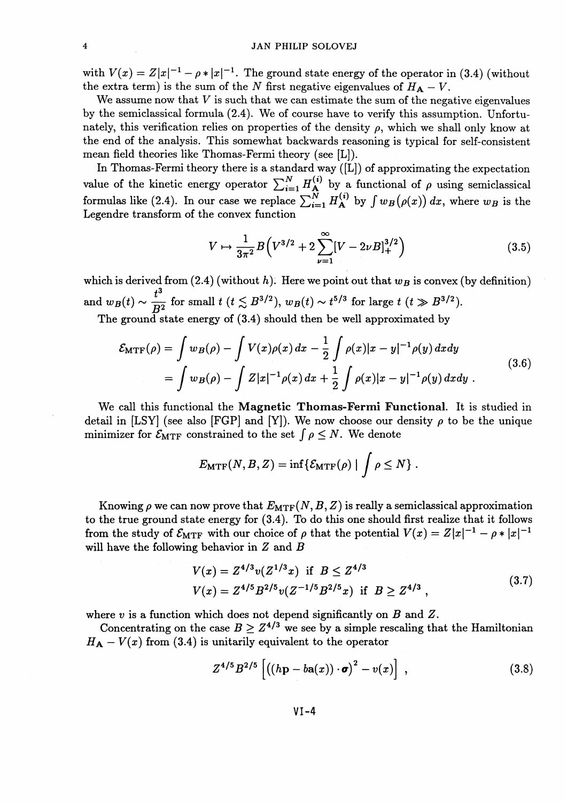#### 4 JAN PHILIP SOLOVEJ

with  $V(x) = Z|x|^{-1} - \rho * |x|^{-1}$ . The ground state energy of the operator in (3.4) (without the extra term) is the sum of the *N* first negative eigenvalues of  $H_A - V$ .

We assume now that *V is* such that we can estimate the sum of the negative eigenvalues by the semiclassical formula (2.4). We of course have to verify this assumption. Unfortunately, this verification relies on properties of the density  $\rho$ , which we shall only know at the end of the analysis. This somewhat backwards reasoning is typical for self-consistent mean field theories like Thomas-Fermi theory (see [L]).

In Thomas-Fermi theory there is a standard way  $([L])$  of approximating the expectation In Thomas-Fermi theory there is a standard way ([L]) of approximating the expectation value of the kinetic energy operator  $\sum_{i=1}^{N} H_{\mathbf{A}}^{(i)}$  by a functional of  $\rho$  using semiclassical value of the kinetic energy operator  $\sum_{i=1}^{N} H_{\mathbf{A}}^{(i)}$  by a functional of  $\rho$  using semiclassica formulas like (2.4). In our case we replace  $\sum_{i=1}^{N} H_{\mathbf{A}}^{(i)}$  by  $\int w_B(\rho(x)) dx$ , where  $w_B$  is the Legendre transform of the convex function

$$
V \mapsto \frac{1}{3\pi^2} B\left(V^{3/2} + 2\sum_{\nu=1}^{\infty} [V - 2\nu B]_+^{3/2}\right)
$$
 (3.5)

which is derived from  $(2.4)$  (without h). Here we point out that  $w_B$  is convex (by definition) which is derived from (2.4) (without *h*). Here we point out that  $w_B$  is convex<br>and  $w_B(t) \sim \frac{t^3}{D^2}$  for small  $t$  ( $t \lesssim B^{3/2}$ ),  $w_B(t) \sim t^{5/3}$  for large  $t$  ( $t \gg B^{3/2}$ )

The ground state energy of  $(3.4)$  should then be well approximated by

$$
\mathcal{E}_{\text{MTF}}(\rho) = \int w_B(\rho) - \int V(x)\rho(x) dx - \frac{1}{2} \int \rho(x)|x - y|^{-1} \rho(y) dx dy
$$
  
= 
$$
\int w_B(\rho) - \int Z|x|^{-1} \rho(x) dx + \frac{1}{2} \int \rho(x)|x - y|^{-1} \rho(y) dx dy.
$$
 (3.6)

We call this functional the **Magnetic Thomas-Fermi Functional.** It is studied in detail in [LSY] (see also [FGP] and [Y]). We now choose our density  $\rho$  to be the unique minimizer for  $\mathcal{E}_{\text{MTF}}$  constrained to the set  $\int \rho \leq N$ . We denote

$$
E_{\text{MTF}}(N, B, Z) = \inf \{ \mathcal{E}_{\text{MTF}}(\rho) \mid \int \rho \leq N \}.
$$

Knowing  $\rho$  we can now prove that  $E_{\text{MTF}}(N, B, Z)$  is really a semiclassical approximation to the true ground state energy for (3.4). To do this one should first realize that it follows to the true ground state energy for (3.4). To do this one should first realize that it follow<br>from the study of  $\mathcal{E}_{\text{MTF}}$  with our choice of  $\rho$  that the potential  $V(x) = Z|x|^{-1} - \rho * |x|^{-1}$ will have the following behavior in *Z* and *B*

$$
V(x) = Z^{4/3}v(Z^{1/3}x) \text{ if } B \le Z^{4/3}
$$
  

$$
V(x) = Z^{4/5}B^{2/5}v(Z^{-1/5}B^{2/5}x) \text{ if } B \ge Z^{4/3},
$$
 (3.7)

where *v is* a function which does not depend significantly on *B* and Z.

Concentrating on the case  $B > Z^{4/3}$  we see by a simple rescaling that the Hamiltonian  $H_A - V(x)$  from (3.4) is unitarily equivalent to the operator

$$
Z^{4/5}B^{2/5}\left[\left((h\mathbf{p}-b\mathbf{a}(x))\cdot\boldsymbol{\sigma}\right)^2-v(x)\right],
$$
\n(3.8)

VI-4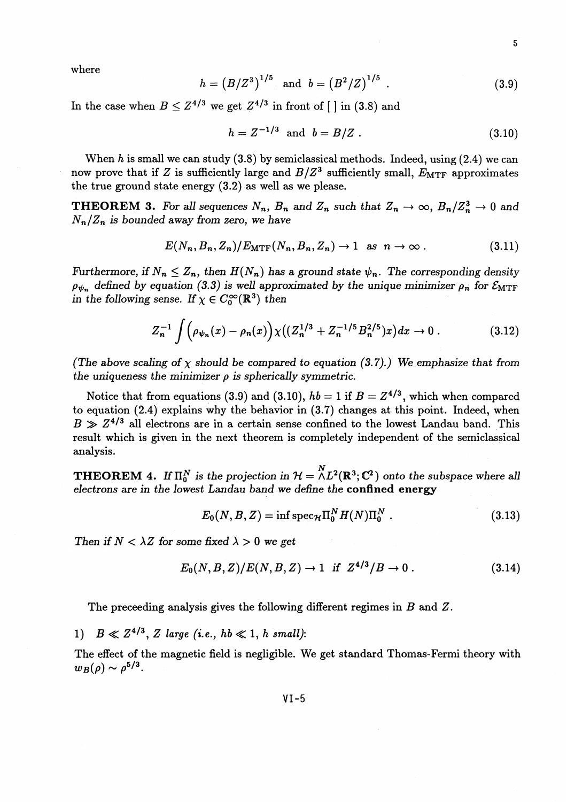where

$$
h = (B/Z^3)^{1/5} \text{ and } b = (B^2/Z)^{1/5} . \tag{3.9}
$$

In the case when  $B \leq Z^{4/3}$  we get  $Z^{4/3}$  in front of  $\lceil \cdot \rceil$  in (3.8) and

$$
h = Z^{-1/3} \text{ and } b = B/Z. \tag{3.10}
$$

When *h* is small we can study (3.8) by semiclassical methods. Indeed, using (2.4) we can now prove that if Z is sufficiently large and  $B/Z<sup>3</sup>$  sufficiently small,  $E_{\text{MTF}}$  approximates the true ground state energy (3.2) as well as we please.

**THEOREM 3.** For all sequences  $N_n$ ,  $B_n$  and  $Z_n$  such that  $Z_n \to \infty$ ,  $B_n/Z_n^3 \to 0$  and *Nn/Zn is bounded away from zero, we have*

$$
E(N_n, B_n, Z_n)/E_{\text{MTF}}(N_n, B_n, Z_n) \to 1 \text{ as } n \to \infty.
$$
 (3.11)

*Furthermore, if*  $N_n \leq Z_n$ , then  $H(N_n)$  has a ground state  $\psi_n$ . The corresponding density  $\rho_{\psi_n}$  defined by equation (3.3) is well approximated by the unique minimizer  $\rho_n$  for  $\mathcal{E}_{\text{MTF}}$  $\rho_{\psi_n}$  denned by equation (3.3) is well approximate the following sense. If  $\chi \in C_0^\infty(\mathbb{R}^3)$  then

$$
Z_n^{-1} \int \left( \rho_{\psi_n}(x) - \rho_n(x) \right) \chi\big( (Z_n^{1/3} + Z_n^{-1/5} B_n^{2/5}) x \big) dx \to 0. \tag{3.12}
$$

*(The above scaling of*  $\chi$  *should be compared to equation (3.7).) We emphasize that from* the uniqueness the minimizer  $\rho$  is spherically symmetric.

Notice that from equations (3.9) and (3.10),  $hb = 1$  if  $B = Z^{4/3}$ , which when compared to equation (2.4) explains why the behavior in (3.7) changes at this point. Indeed, when  $B \gg Z^{4/3}$  all electrons are in a certain sense confined to the lowest Landau band. This result which is given in the next theorem is completely independent of the semiclassical analysis.

**THEOREM** 4. If  $\Pi_0^N$  is the projection in  $\mathcal{H} = \Lambda L^2(\mathbb{R}^3; \mathbb{C}^2)$  onto the subspace where all *electrons are in the lowest Landau band we define the* **confined energy**

$$
E_0(N, B, Z) = \inf \mathrm{spec}_{\mathcal{H}} \Pi_0^N H(N) \Pi_0^N \tag{3.13}
$$

Then if  $N < \lambda Z$  for some fixed  $\lambda > 0$  we get

$$
E_0(N, B, Z)/E(N, B, Z) \to 1
$$
 if  $Z^{4/3}/B \to 0$ . (3.14)

The preceeding analysis gives the following different regimes in B and Z.

1)  $B \ll Z^{4/3}$ , *Z* large (*i.e.*,  $hb \ll 1$ , *h* small)

The effect of the magnetic field is negligible. We get standard Thomas-Fermi theory with  $w_B(\rho) \sim \rho^{5/3}$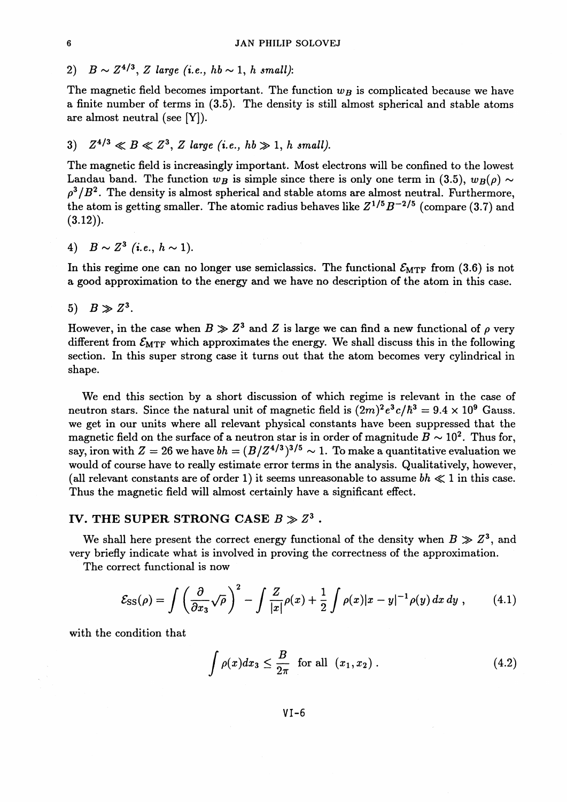2)  $B \sim Z^{4/3}$ , *Z* large (i.e.,  $hb \sim 1$ , *h* small):

The magnetic field becomes important. The function  $w_B$  is complicated because we have a finite number of terms in (3.5). The density is still almost spherical and stable atoms are almost neutral (see [Y]).

3)  $Z^{4/3} \ll B \ll Z^3$ , *Z* large (i.e.,  $hb \gg 1$ , *h* small).

The magnetic field is increasingly important. Most electrons will be confined to the lowest Landau band. The function  $w_B$  is simple since there is only one term in (3.5),  $w_B(\rho) \sim$  $\rho^3/B^2$ . The density is almost spherical and stable atoms are almost neutral. Furthermore the atom is getting smaller. The atomic radius behaves like  $Z^{1/5}B^{-2/5}$  (compare (3.7) and  $(3.12)$ .

4)  $B \sim Z^3$  (i.e.,  $h \sim 1$ ).

In this regime one can no longer use semiclassics. The functional  $\mathcal{E}_{\text{MTF}}$  from (3.6) is not a good approximation to the energy and we have no description of the atom in this case.

5)  $B \gg Z^3$ .

However, in the case when  $B \gg Z^3$  and  $Z$  is large we can find a new functional of  $\rho$  very different from  $\mathcal{E}_{\text{MTF}}$  which approximates the energy. We shall discuss this in the following section. In this super strong case it turns out that the atom becomes very cylindrical in shape.

We end this section by a short discussion of which regime is relevant in the case of neutron stars. Since the natural unit of magnetic field is  $(2m)^2e^3c/\hbar^3 = 9.4 \times 10^9$  Gauss. we get in our units where all relevant physical constants have been suppressed that the magnetic field on the surface of a neutron star is in order of magnitude  $B \sim 10^2$ . Thus for, say, iron with  $Z = 26$  we have  $bh = (B/Z<sup>4/3</sup>)<sup>3/5</sup> \sim 1$ . To make a quantitative evaluation we would of course have to really estimate error terms in the analysis. Qualitatively, however, (all relevant constants are of order 1) it seems unreasonable to assume  $bh \ll 1$  in this case. Thus the magnetic field will almost certainly have a significant effect.

# IV. THE SUPER STRONG CASE  $B \gg Z^3$  .

We shall here present the correct energy functional of the density when  $B \gg Z^3$ , and very briefly indicate what is involved in proving the correctness of the approximation.

The correct functional is now

$$
\mathcal{E}_{\rm SS}(\rho) = \int \left(\frac{\partial}{\partial x_3} \sqrt{\rho}\right)^2 - \int \frac{Z}{|x|} \rho(x) + \frac{1}{2} \int \rho(x) |x - y|^{-1} \rho(y) dx dy , \qquad (4.1)
$$

with the condition that

$$
\int \rho(x)dx_3 \le \frac{B}{2\pi} \quad \text{for all} \quad (x_1, x_2). \tag{4.2}
$$